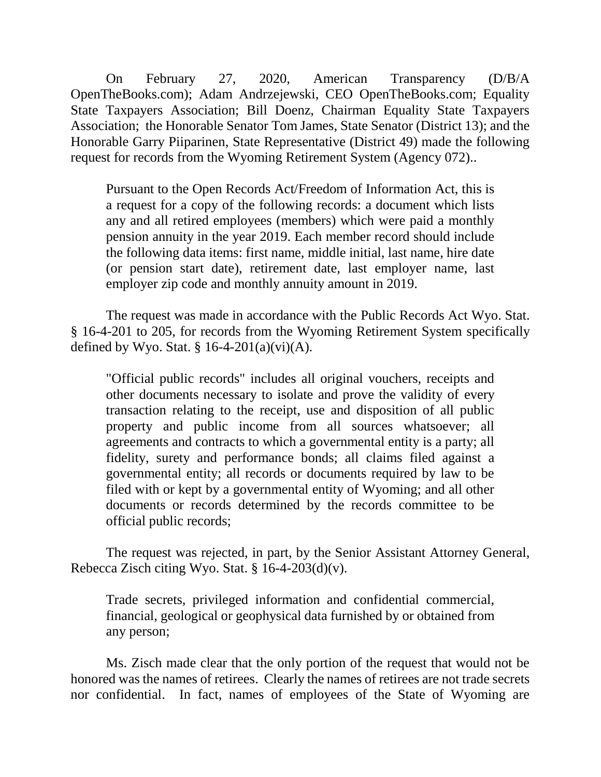On February 27, 2020, American Transparency (D/B/A OpenTheBooks.com); Adam Andrzejewski, CEO OpenTheBooks.com; Equality State Taxpayers Association; Bill Doenz, Chairman Equality State Taxpayers Association; the Honorable Senator Tom James, State Senator (District 13); and the Honorable Garry Piiparinen, State Representative (District 49) made the following request for records from the Wyoming Retirement System (Agency 072)..

Pursuant to the Open Records Act/Freedom of Information Act, this is a request for a copy of the following records: a document which lists any and all retired employees (members) which were paid a monthly pension annuity in the year 2019. Each member record should include the following data items: first name, middle initial, last name, hire date (or pension start date), retirement date, last employer name, last employer zip code and monthly annuity amount in 2019.

The request was made in accordance with the Public Records Act Wyo. Stat. § 16-4-201 to 205, for records from the Wyoming Retirement System specifically defined by Wyo. Stat. §  $16-4-201(a)(vi)(A)$ .

"Official public records" includes all original vouchers, receipts and other documents necessary to isolate and prove the validity of every transaction relating to the receipt, use and disposition of all public property and public income from all sources whatsoever; all agreements and contracts to which a governmental entity is a party; all fidelity, surety and performance bonds; all claims filed against a governmental entity; all records or documents required by law to be filed with or kept by a governmental entity of Wyoming; and all other documents or records determined by the records committee to be official public records;

The request was rejected, in part, by the Senior Assistant Attorney General, Rebecca Zisch citing Wyo. Stat.  $\S$  16-4-203(d)(v).

Trade secrets, privileged information and confidential commercial, financial, geological or geophysical data furnished by or obtained from any person;

Ms. Zisch made clear that the only portion of the request that would not be honored was the names of retirees. Clearly the names of retirees are not trade secrets nor confidential. In fact, names of employees of the State of Wyoming are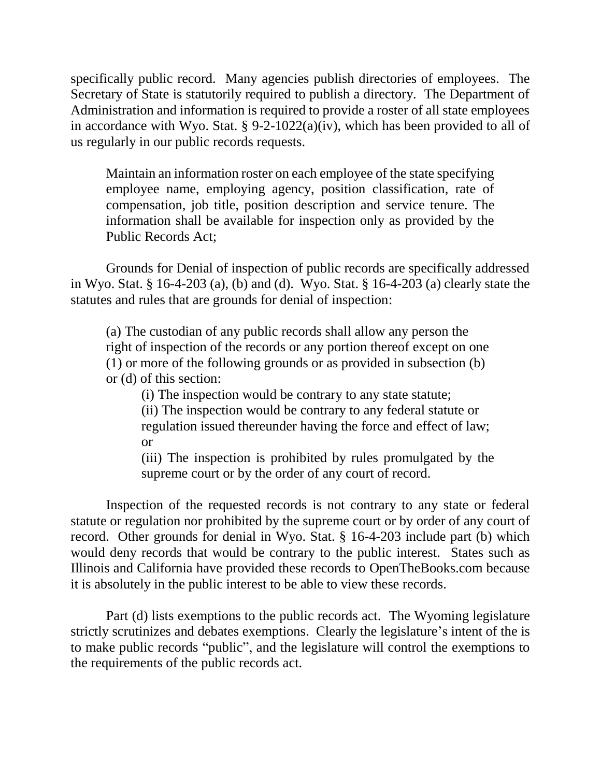specifically public record. Many agencies publish directories of employees. The Secretary of State is statutorily required to publish a directory. The Department of Administration and information is required to provide a roster of all state employees in accordance with Wyo. Stat. §  $9-2-1022(a)(iv)$ , which has been provided to all of us regularly in our public records requests.

Maintain an information roster on each employee of the state specifying employee name, employing agency, position classification, rate of compensation, job title, position description and service tenure. The information shall be available for inspection only as provided by the Public Records Act;

Grounds for Denial of inspection of public records are specifically addressed in Wyo. Stat. § 16-4-203 (a), (b) and (d). Wyo. Stat. § 16-4-203 (a) clearly state the statutes and rules that are grounds for denial of inspection:

(a) The custodian of any public records shall allow any person the right of inspection of the records or any portion thereof except on one (1) or more of the following grounds or as provided in subsection (b) or (d) of this section:

(i) The inspection would be contrary to any state statute;

(ii) The inspection would be contrary to any federal statute or regulation issued thereunder having the force and effect of law; or

(iii) The inspection is prohibited by rules promulgated by the supreme court or by the order of any court of record.

Inspection of the requested records is not contrary to any state or federal statute or regulation nor prohibited by the supreme court or by order of any court of record. Other grounds for denial in Wyo. Stat. § 16-4-203 include part (b) which would deny records that would be contrary to the public interest. States such as Illinois and California have provided these records to OpenTheBooks.com because it is absolutely in the public interest to be able to view these records.

Part (d) lists exemptions to the public records act. The Wyoming legislature strictly scrutinizes and debates exemptions. Clearly the legislature's intent of the is to make public records "public", and the legislature will control the exemptions to the requirements of the public records act.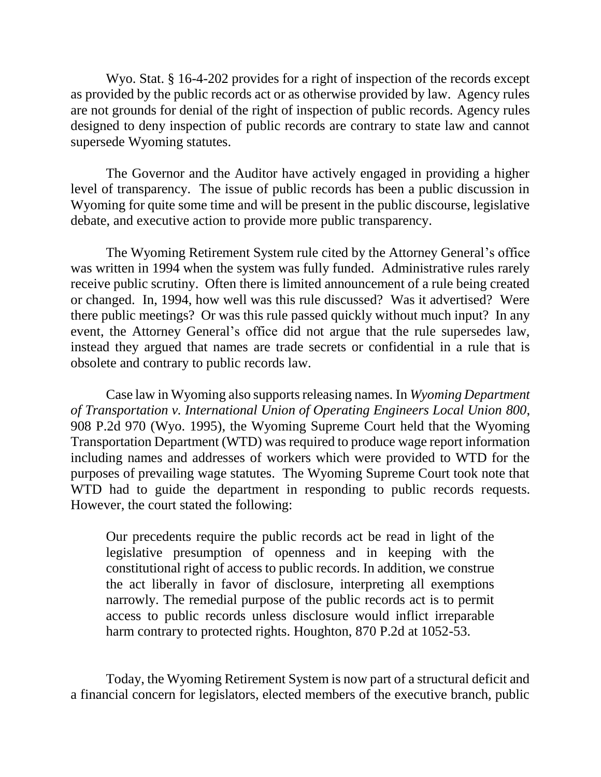Wyo. Stat. § 16-4-202 provides for a right of inspection of the records except as provided by the public records act or as otherwise provided by law. Agency rules are not grounds for denial of the right of inspection of public records. Agency rules designed to deny inspection of public records are contrary to state law and cannot supersede Wyoming statutes.

The Governor and the Auditor have actively engaged in providing a higher level of transparency. The issue of public records has been a public discussion in Wyoming for quite some time and will be present in the public discourse, legislative debate, and executive action to provide more public transparency.

The Wyoming Retirement System rule cited by the Attorney General's office was written in 1994 when the system was fully funded. Administrative rules rarely receive public scrutiny. Often there is limited announcement of a rule being created or changed. In, 1994, how well was this rule discussed? Was it advertised? Were there public meetings? Or was this rule passed quickly without much input? In any event, the Attorney General's office did not argue that the rule supersedes law, instead they argued that names are trade secrets or confidential in a rule that is obsolete and contrary to public records law.

Case law in Wyoming also supports releasing names*.* In *Wyoming Department of Transportation v. International Union of Operating Engineers Local Union 800*, 908 P.2d 970 (Wyo. 1995), the Wyoming Supreme Court held that the Wyoming Transportation Department (WTD) was required to produce wage report information including names and addresses of workers which were provided to WTD for the purposes of prevailing wage statutes. The Wyoming Supreme Court took note that WTD had to guide the department in responding to public records requests. However, the court stated the following:

Our precedents require the public records act be read in light of the legislative presumption of openness and in keeping with the constitutional right of access to public records. In addition, we construe the act liberally in favor of disclosure, interpreting all exemptions narrowly. The remedial purpose of the public records act is to permit access to public records unless disclosure would inflict irreparable harm contrary to protected rights. Houghton, 870 P.2d at 1052-53.

Today, the Wyoming Retirement System is now part of a structural deficit and a financial concern for legislators, elected members of the executive branch, public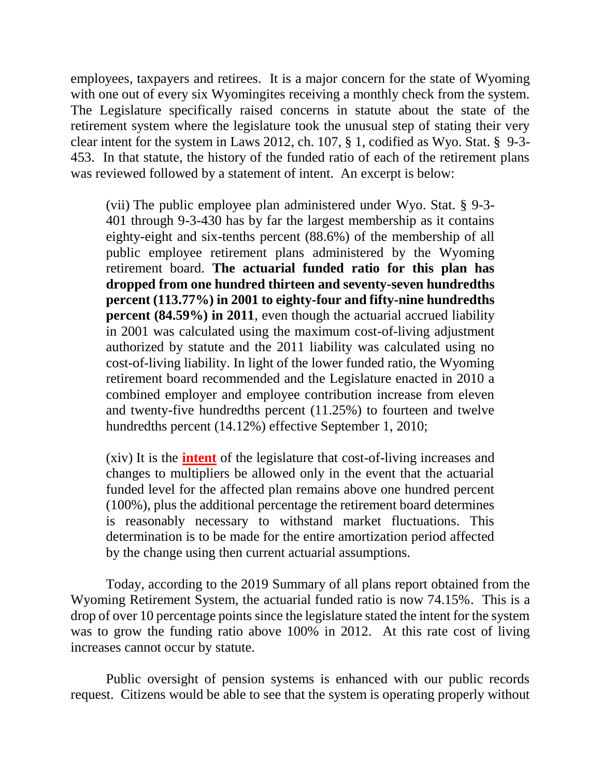employees, taxpayers and retirees. It is a major concern for the state of Wyoming with one out of every six Wyomingites receiving a monthly check from the system. The Legislature specifically raised concerns in statute about the state of the retirement system where the legislature took the unusual step of stating their very clear intent for the system in Laws 2012, ch. 107, § 1, codified as Wyo. Stat. § 9-3- 453. In that statute, the history of the funded ratio of each of the retirement plans was reviewed followed by a statement of intent. An excerpt is below:

(vii) The public employee plan administered under Wyo. Stat. § 9-3- 401 through 9-3-430 has by far the largest membership as it contains eighty-eight and six-tenths percent (88.6%) of the membership of all public employee retirement plans administered by the Wyoming retirement board. **The actuarial funded ratio for this plan has dropped from one hundred thirteen and seventy-seven hundredths percent (113.77%) in 2001 to eighty-four and fifty-nine hundredths percent (84.59%) in 2011**, even though the actuarial accrued liability in 2001 was calculated using the maximum cost-of-living adjustment authorized by statute and the 2011 liability was calculated using no cost-of-living liability. In light of the lower funded ratio, the Wyoming retirement board recommended and the Legislature enacted in 2010 a combined employer and employee contribution increase from eleven and twenty-five hundredths percent (11.25%) to fourteen and twelve hundredths percent (14.12%) effective September 1, 2010;

(xiv) It is the **intent** of the legislature that cost-of-living increases and changes to multipliers be allowed only in the event that the actuarial funded level for the affected plan remains above one hundred percent (100%), plus the additional percentage the retirement board determines is reasonably necessary to withstand market fluctuations. This determination is to be made for the entire amortization period affected by the change using then current actuarial assumptions.

Today, according to the 2019 Summary of all plans report obtained from the Wyoming Retirement System, the actuarial funded ratio is now 74.15%. This is a drop of over 10 percentage points since the legislature stated the intent for the system was to grow the funding ratio above 100% in 2012. At this rate cost of living increases cannot occur by statute.

Public oversight of pension systems is enhanced with our public records request. Citizens would be able to see that the system is operating properly without